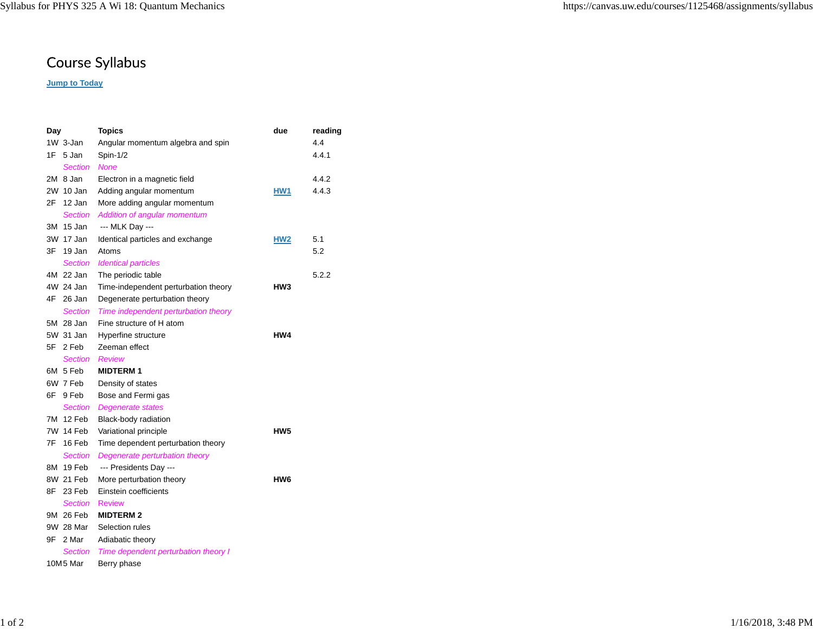## Course Syllabus

## **Jump to Today**

| Day |                | <b>Topics</b>                        | due             | reading |
|-----|----------------|--------------------------------------|-----------------|---------|
|     | 1W 3-Jan       | Angular momentum algebra and spin    |                 | 4.4     |
| 1F. | 5 Jan          | Spin-1/2                             |                 | 4.4.1   |
|     | <b>Section</b> | <b>None</b>                          |                 |         |
|     | 2M 8 Jan       | Electron in a magnetic field         |                 | 4.4.2   |
|     | 2W 10 Jan      | Adding angular momentum              | HW1             | 4.4.3   |
| 2F  | 12 Jan         | More adding angular momentum         |                 |         |
|     | <b>Section</b> | Addition of angular momentum         |                 |         |
| 3M  | 15 Jan         | --- MLK Day ---                      |                 |         |
|     | 3W 17 Jan      | Identical particles and exchange     | HW <sub>2</sub> | 5.1     |
| 3F  | 19 Jan         | Atoms                                |                 | 5.2     |
|     | <b>Section</b> | <b>Identical particles</b>           |                 |         |
|     | 4M 22 Jan      | The periodic table                   |                 | 5.2.2   |
|     | 4W 24 Jan      | Time-independent perturbation theory | HW3             |         |
| 4F  | 26 Jan         | Degenerate perturbation theory       |                 |         |
|     | <b>Section</b> | Time independent perturbation theory |                 |         |
|     | 5M 28 Jan      | Fine structure of H atom             |                 |         |
|     | 5W 31 Jan      | Hyperfine structure                  | HW4             |         |
| 5F  | 2 Feb          | Zeeman effect                        |                 |         |
|     | <b>Section</b> | <b>Review</b>                        |                 |         |
|     | 6M 5 Feb       | <b>MIDTERM1</b>                      |                 |         |
|     | 6W 7 Feb       | Density of states                    |                 |         |
| 6F  | 9 Feb          | Bose and Fermi gas                   |                 |         |
|     | Section        | <b>Degenerate states</b>             |                 |         |
|     | 7M 12 Feb      | Black-body radiation                 |                 |         |
|     | 7W 14 Feb      | Variational principle                | HW <sub>5</sub> |         |
| 7F  | 16 Feb         | Time dependent perturbation theory   |                 |         |
|     | Section        | Degenerate perturbation theory       |                 |         |
|     | 8M 19 Feb      | --- Presidents Day ---               |                 |         |
|     | 8W 21 Feb      | More perturbation theory             | HW <sub>6</sub> |         |
| 8F  | 23 Feb         | Einstein coefficients                |                 |         |
|     | <b>Section</b> | <b>Review</b>                        |                 |         |
|     | 9M 26 Feb      | <b>MIDTERM 2</b>                     |                 |         |
|     | 9W 28 Mar      | Selection rules                      |                 |         |
| 9F  | 2 Mar          | Adiabatic theory                     |                 |         |
|     | Section        | Time dependent perturbation theory I |                 |         |
|     | 10M5 Mar       | Berry phase                          |                 |         |